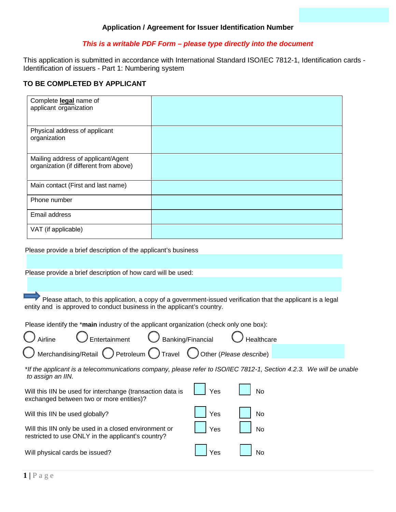### *This is a writable PDF Form – please type directly into the document*

This application is submitted in accordance with International Standard ISO/IEC 7812-1, Identification cards - Identification of issuers - Part 1: Numbering system

## **TO BE COMPLETED BY APPLICANT**

| Complete legal name of<br>applicant organization                             |  |
|------------------------------------------------------------------------------|--|
| Physical address of applicant<br>organization                                |  |
| Mailing address of applicant/Agent<br>organization (if different from above) |  |
| Main contact (First and last name)                                           |  |
| Phone number                                                                 |  |
| Email address                                                                |  |
| VAT (if applicable)                                                          |  |

Please provide a brief description of the applicant's business

Please provide a brief description of how card will be used:

 Please attach, to this application, a copy of a government-issued verification that the applicant is a legal entity and is approved to conduct business in the applicant's country.

Please identify the \***main** industry of the applicant organization (check only one box):

| Airline                                                                                                                                  | Entertainment                                                                                               | Banking/Financial |                         | Healthcare |  |  |  |
|------------------------------------------------------------------------------------------------------------------------------------------|-------------------------------------------------------------------------------------------------------------|-------------------|-------------------------|------------|--|--|--|
|                                                                                                                                          | Merchandising/Retail $\bigcirc$ Petroleum $\bigcirc$ Travel                                                 |                   | Other (Please describe) |            |  |  |  |
| *If the applicant is a telecommunications company, please refer to ISO/IEC 7812-1, Section 4.2.3. We will be unable<br>to assign an IIN. |                                                                                                             |                   |                         |            |  |  |  |
|                                                                                                                                          | Will this IIN be used for interchange (transaction data is<br>exchanged between two or more entities)?      |                   | Yes                     | No         |  |  |  |
| Will this IIN be used globally?                                                                                                          |                                                                                                             |                   | Yes                     | No         |  |  |  |
|                                                                                                                                          | Will this IIN only be used in a closed environment or<br>restricted to use ONLY in the applicant's country? |                   | Yes                     | No         |  |  |  |
| Will physical cards be issued?                                                                                                           |                                                                                                             |                   | Yes                     | No         |  |  |  |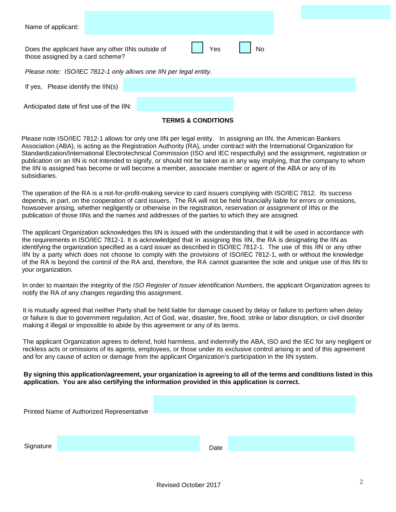| Name of applicant:                                                                                 |  |  |  |  |  |
|----------------------------------------------------------------------------------------------------|--|--|--|--|--|
| Yes<br>No<br>Does the applicant have any other IINs outside of<br>those assigned by a card scheme? |  |  |  |  |  |
| Please note: ISO/IEC 7812-1 only allows one IIN per legal entity.                                  |  |  |  |  |  |
| Please identify the IIN(s)<br>If yes.                                                              |  |  |  |  |  |
| Anticipated date of first use of the IIN:                                                          |  |  |  |  |  |

### **TERMS & CONDITIONS**

Please note ISO/IEC 7812-1 allows for only one IIN per legal entity. In assigning an IIN, the American Bankers Association (ABA), is acting as the Registration Authority (RA), under contract with the International Organization for Standardization/International Electrotechnical Commission (ISO and IEC respectfully) and the assignment, registration or publication on an IIN is not intended to signify, or should not be taken as in any way implying, that the company to whom the IIN is assigned has become or will become a member, associate member or agent of the ABA or any of its subsidiaries.

The operation of the RA is a not-for-profit-making service to card issuers complying with ISO/IEC 7812. Its success depends, in part, on the cooperation of card issuers. The RA will not be held financially liable for errors or omissions, howsoever arising, whether negligently or otherwise in the registration, reservation or assignment of IINs or the publication of those IINs and the names and addresses of the parties to which they are assigned.

The applicant Organization acknowledges this IIN is issued with the understanding that it will be used in accordance with the requirements in ISO/IEC 7812-1. It is acknowledged that in assigning this IIN, the RA is designating the IIN as identifying the organization specified as a card issuer as described in ISO/IEC 7812-1. The use of this IIN or any other IIN by a party which does not choose to comply with the provisions of ISO/IEC 7812-1, with or without the knowledge of the RA is beyond the control of the RA and, therefore, the RA cannot guarantee the sole and unique use of this IIN to your organization.

In order to maintain the integrity of the *ISO Register of Issuer identification Numbers*, the applicant Organization agrees to notify the RA of any changes regarding this assignment.

It is mutually agreed that neither Party shall be held liable for damage caused by delay or failure to perform when delay or failure is due to government regulation, Act of God, war, disaster, fire, flood, strike or labor disruption, or civil disorder making it illegal or impossible to abide by this agreement or any of its terms.

The applicant Organization agrees to defend, hold harmless, and indemnify the ABA, ISO and the IEC for any negligent or reckless acts or omissions of its agents, employees, or those under its exclusive control arising in and of this agreement and for any cause of action or damage from the applicant Organization's participation in the IIN system.

#### **By signing this application/agreement, your organization is agreeing to all of the terms and conditions listed in this application. You are also certifying the information provided in this application is correct.**

|           | Printed Name of Authorized Representative |      |  |
|-----------|-------------------------------------------|------|--|
|           |                                           |      |  |
| Signature |                                           | Date |  |